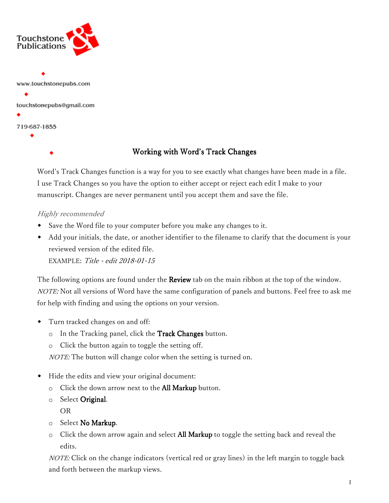

Working with Word's Track Changes

Word's Track Changes function is a way for you to see exactly what changes have been made in a file. I use Track Changes so you have the option to either accept or reject each edit I make to your manuscript. Changes are never permanent until you accept them and save the file.

## Highly recommended

- Save the Word file to your computer before you make any changes to it.
- Add your initials, the date, or another identifier to the filename to clarify that the document is your reviewed version of the edited file.

EXAMPLE: Title - edit 2018-01-15

The following options are found under the **Review** tab on the main ribbon at the top of the window. NOTE: Not all versions of Word have the same configuration of panels and buttons. Feel free to ask me for help with finding and using the options on your version.

- Turn tracked changes on and off:
	- $\circ$  In the Tracking panel, click the Track Changes button.
	- o Click the button again to toggle the setting off.

*NOTE:* The button will change color when the setting is turned on.

- Hide the edits and view your original document:
	- $\circ$  Click the down arrow next to the All Markup button.
	- $\circ$  Select Original.

OR

- $\circ$  Select No Markup.
- $\circ$  Click the down arrow again and select **All Markup** to toggle the setting back and reveal the edits.

NOTE: Click on the change indicators (vertical red or gray lines) in the left margin to toggle back and forth between the markup views.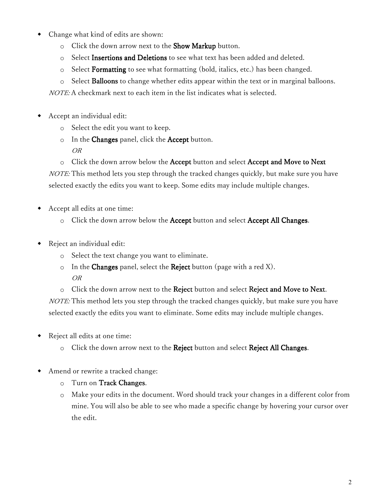- Change what kind of edits are shown:
	- o Click the down arrow next to the Show Markup button.
	- $\circ$  Select Insertions and Deletions to see what text has been added and deleted.
	- o Select **Formatting** to see what formatting (bold, italics, etc.) has been changed.

 $\circ$  Select **Balloons** to change whether edits appear within the text or in marginal balloons.

NOTE: A checkmark next to each item in the list indicates what is selected.

- Accept an individual edit:
	- o Select the edit you want to keep.
	- In the Changes panel, click the Accept button. OR
	- $\circ$  Click the down arrow below the **Accept** button and select **Accept and Move to Next**

*NOTE:* This method lets you step through the tracked changes quickly, but make sure you have selected exactly the edits you want to keep. Some edits may include multiple changes.

- Accept all edits at one time:
	- $\circ$  Click the down arrow below the Accept button and select Accept All Changes.
- Reject an individual edit:
	- o Select the text change you want to eliminate.
	- $\circ$  In the Changes panel, select the Reject button (page with a red X). OR
	- o Click the down arrow next to the Reject button and select Reject and Move to Next.

NOTE: This method lets you step through the tracked changes quickly, but make sure you have selected exactly the edits you want to eliminate. Some edits may include multiple changes.

- Reject all edits at one time:
	- o Click the down arrow next to the Reject button and select Reject All Changes.
- Amend or rewrite a tracked change:
	- $\circ$  Turn on Track Changes.
	- o Make your edits in the document. Word should track your changes in a different color from mine. You will also be able to see who made a specific change by hovering your cursor over the edit.